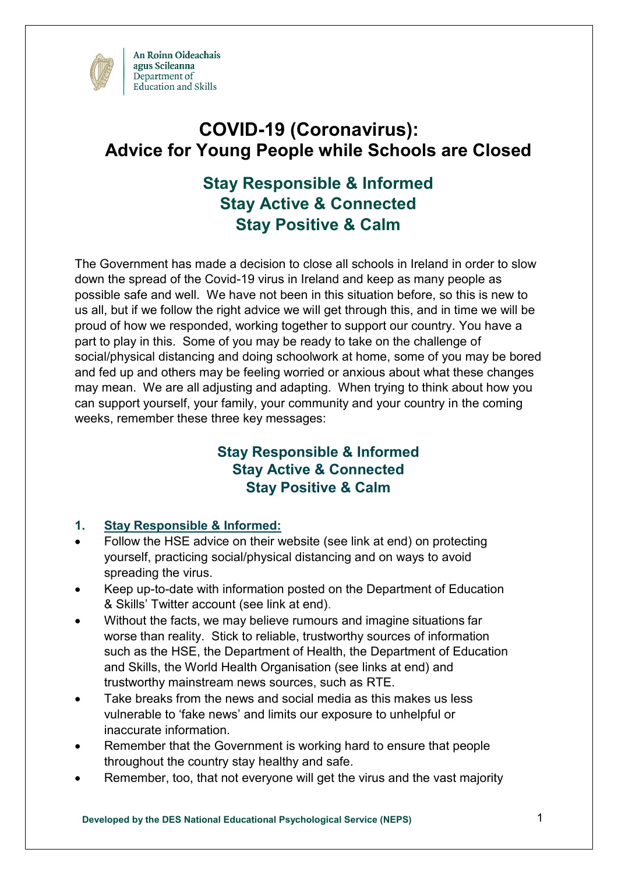

# **COVID-19 (Coronavirus): Advice for Young People while Schools are Closed**

# **Stay Responsible & Informed Stay Active & Connected Stay Positive & Calm**

The Government has made a decision to close all schools in Ireland in order to slow down the spread of the Covid-19 virus in Ireland and keep as many people as possible safe and well. We have not been in this situation before, so this is new to us all, but if we follow the right advice we will get through this, and in time we will be proud of how we responded, working together to support our country. You have a part to play in this. Some of you may be ready to take on the challenge of social/physical distancing and doing schoolwork at home, some of you may be bored and fed up and others may be feeling worried or anxious about what these changes may mean. We are all adjusting and adapting. When trying to think about how you can support yourself, your family, your community and your country in the coming weeks, remember these three key messages:

# **Stay Responsible & Informed Stay Active & Connected Stay Positive & Calm**

## **1. Stay Responsible & Informed:**

- Follow the HSE advice on their website (see link at end) on protecting yourself, practicing social/physical distancing and on ways to avoid spreading the virus.
- Keep up-to-date with information posted on the Department of Education & Skills' Twitter account (see link at end).
- Without the facts, we may believe rumours and imagine situations far worse than reality. Stick to reliable, trustworthy sources of information such as the HSE, the Department of Health, the Department of Education and Skills, the World Health Organisation (see links at end) and trustworthy mainstream news sources, such as RTE.
- Take breaks from the news and social media as this makes us less vulnerable to 'fake news' and limits our exposure to unhelpful or inaccurate information.
- Remember that the Government is working hard to ensure that people throughout the country stay healthy and safe.
- Remember, too, that not everyone will get the virus and the vast majority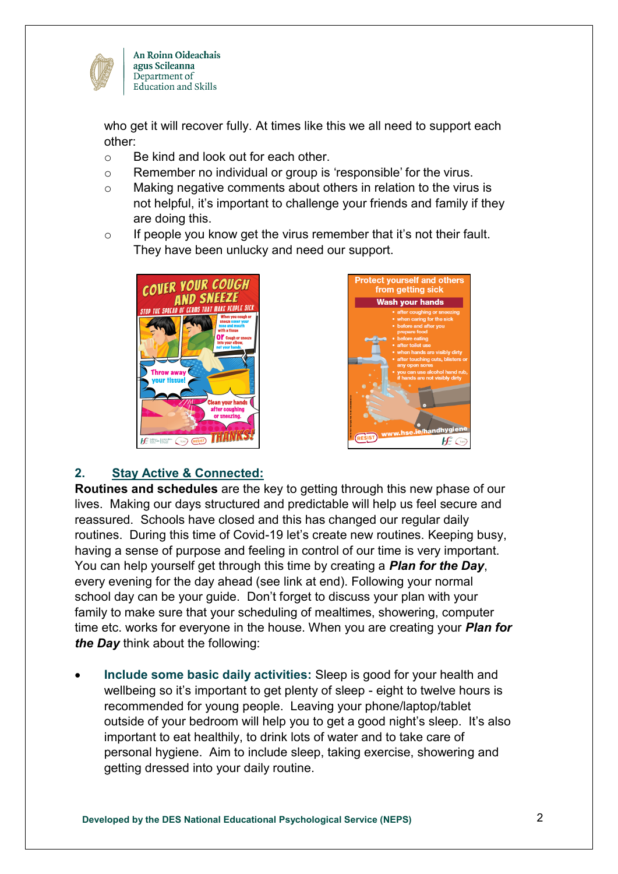

An Roinn Oideachais agus Scileanna Department of Education and Skills

who get it will recover fully. At times like this we all need to support each other:

- o Be kind and look out for each other.
- o Remember no individual or group is 'responsible' for the virus.
- o Making negative comments about others in relation to the virus is not helpful, it's important to challenge your friends and family if they are doing this.
- $\circ$  If people you know get the virus remember that it's not their fault. They have been unlucky and need our support.





## **2. Stay Active & Connected:**

**Routines and schedules** are the key to getting through this new phase of our lives. Making our days structured and predictable will help us feel secure and reassured. Schools have closed and this has changed our regular daily routines. During this time of Covid-19 let's create new routines. Keeping busy, having a sense of purpose and feeling in control of our time is very important. You can help yourself get through this time by creating a *Plan for the Day*, every evening for the day ahead (see link at end). Following your normal school day can be your guide. Don't forget to discuss your plan with your family to make sure that your scheduling of mealtimes, showering, computer time etc. works for everyone in the house. When you are creating your *Plan for the Day* think about the following:

 **Include some basic daily activities:** Sleep is good for your health and wellbeing so it's important to get plenty of sleep - eight to twelve hours is recommended for young people. Leaving your phone/laptop/tablet outside of your bedroom will help you to get a good night's sleep. It's also important to eat healthily, to drink lots of water and to take care of personal hygiene. Aim to include sleep, taking exercise, showering and getting dressed into your daily routine.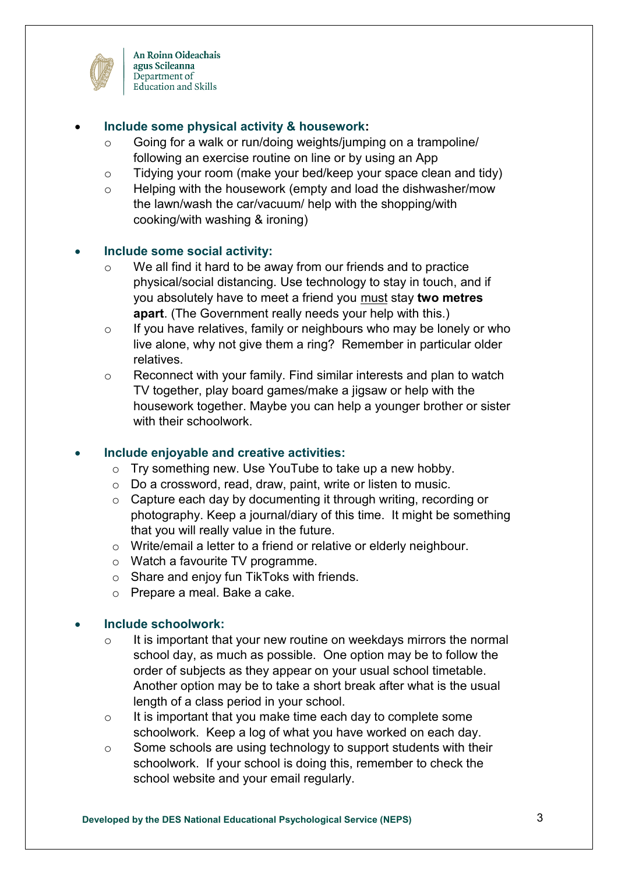

An Roinn Oideachais agus Scileanna Department of Education and Skills

#### **Include some physical activity & housework:**

- o Going for a walk or run/doing weights/jumping on a trampoline/ following an exercise routine on line or by using an App
- o Tidying your room (make your bed/keep your space clean and tidy)
- o Helping with the housework (empty and load the dishwasher/mow the lawn/wash the car/vacuum/ help with the shopping/with cooking/with washing & ironing)

#### **Include some social activity:**

- o We all find it hard to be away from our friends and to practice physical/social distancing. Use technology to stay in touch, and if you absolutely have to meet a friend you must stay **two metres apart**. (The Government really needs your help with this.)
- o If you have relatives, family or neighbours who may be lonely or who live alone, why not give them a ring? Remember in particular older relatives.
- o Reconnect with your family. Find similar interests and plan to watch TV together, play board games/make a jigsaw or help with the housework together. Maybe you can help a younger brother or sister with their schoolwork.

## **Include enjoyable and creative activities:**

- o Try something new. Use YouTube to take up a new hobby.
- o Do a crossword, read, draw, paint, write or listen to music.
- o Capture each day by documenting it through writing, recording or photography. Keep a journal/diary of this time. It might be something that you will really value in the future.
- o Write/email a letter to a friend or relative or elderly neighbour.
- o Watch a favourite TV programme.
- o Share and enjoy fun TikToks with friends.
- o Prepare a meal. Bake a cake.

#### **Include schoolwork:**

- $\circ$  It is important that your new routine on weekdays mirrors the normal school day, as much as possible. One option may be to follow the order of subjects as they appear on your usual school timetable. Another option may be to take a short break after what is the usual length of a class period in your school.
- o It is important that you make time each day to complete some schoolwork. Keep a log of what you have worked on each day.
- o Some schools are using technology to support students with their schoolwork. If your school is doing this, remember to check the school website and your email regularly.